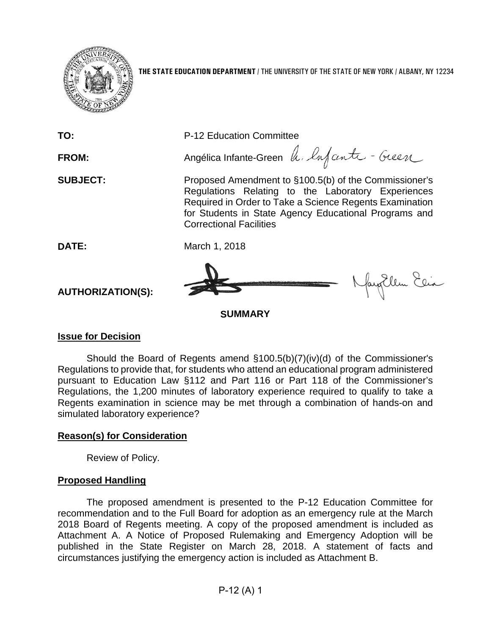

**THE STATE EDUCATION DEPARTMENT** / THE UNIVERSITY OF THE STATE OF NEW YORK / ALBANY, NY 12234

**TO:** P-12 Education Committee FROM: Angélica Infante-Green h. Infanta - Guen **SUBJECT:** Proposed Amendment to §100.5(b) of the Commissioner's Regulations Relating to the Laboratory Experiences Required in Order to Take a Science Regents Examination for Students in State Agency Educational Programs and Correctional Facilities **DATE:** March 1, 2018 Nagellem Elia **AUTHORIZATION(S): SUMMARY**

## **Issue for Decision**

Should the Board of Regents amend §100.5(b)(7)(iv)(d) of the Commissioner's Regulations to provide that, for students who attend an educational program administered pursuant to Education Law §112 and Part 116 or Part 118 of the Commissioner's Regulations, the 1,200 minutes of laboratory experience required to qualify to take a Regents examination in science may be met through a combination of hands-on and simulated laboratory experience?

# **Reason(s) for Consideration**

Review of Policy.

# **Proposed Handling**

The proposed amendment is presented to the P-12 Education Committee for recommendation and to the Full Board for adoption as an emergency rule at the March 2018 Board of Regents meeting. A copy of the proposed amendment is included as Attachment A. A Notice of Proposed Rulemaking and Emergency Adoption will be published in the State Register on March 28, 2018. A statement of facts and circumstances justifying the emergency action is included as Attachment B.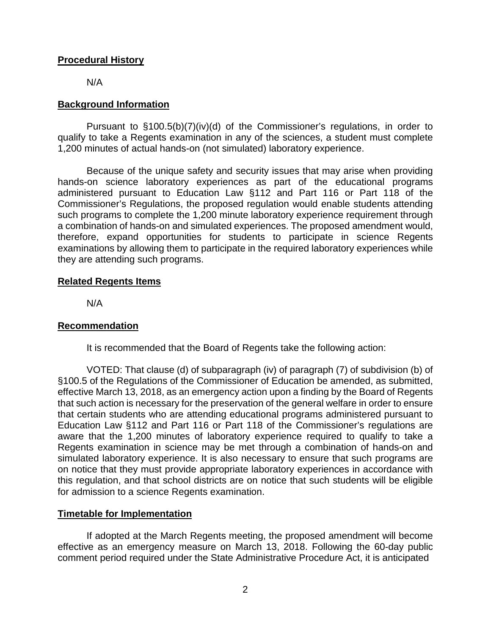## **Procedural History**

N/A

## **Background Information**

Pursuant to §100.5(b)(7)(iv)(d) of the Commissioner's regulations, in order to qualify to take a Regents examination in any of the sciences, a student must complete 1,200 minutes of actual hands-on (not simulated) laboratory experience.

Because of the unique safety and security issues that may arise when providing hands-on science laboratory experiences as part of the educational programs administered pursuant to Education Law §112 and Part 116 or Part 118 of the Commissioner's Regulations, the proposed regulation would enable students attending such programs to complete the 1,200 minute laboratory experience requirement through a combination of hands-on and simulated experiences. The proposed amendment would, therefore, expand opportunities for students to participate in science Regents examinations by allowing them to participate in the required laboratory experiences while they are attending such programs.

#### **Related Regents Items**

N/A

## **Recommendation**

It is recommended that the Board of Regents take the following action:

VOTED: That clause (d) of subparagraph (iv) of paragraph (7) of subdivision (b) of §100.5 of the Regulations of the Commissioner of Education be amended, as submitted, effective March 13, 2018, as an emergency action upon a finding by the Board of Regents that such action is necessary for the preservation of the general welfare in order to ensure that certain students who are attending educational programs administered pursuant to Education Law §112 and Part 116 or Part 118 of the Commissioner's regulations are aware that the 1,200 minutes of laboratory experience required to qualify to take a Regents examination in science may be met through a combination of hands-on and simulated laboratory experience. It is also necessary to ensure that such programs are on notice that they must provide appropriate laboratory experiences in accordance with this regulation, and that school districts are on notice that such students will be eligible for admission to a science Regents examination.

## **Timetable for Implementation**

If adopted at the March Regents meeting, the proposed amendment will become effective as an emergency measure on March 13, 2018. Following the 60-day public comment period required under the State Administrative Procedure Act, it is anticipated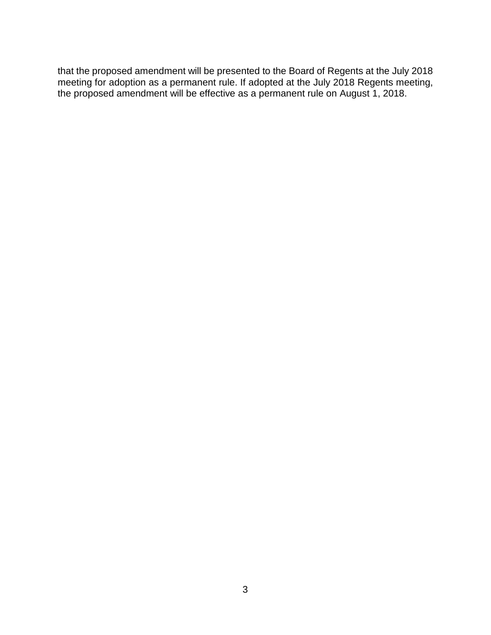that the proposed amendment will be presented to the Board of Regents at the July 2018 meeting for adoption as a permanent rule. If adopted at the July 2018 Regents meeting, the proposed amendment will be effective as a permanent rule on August 1, 2018.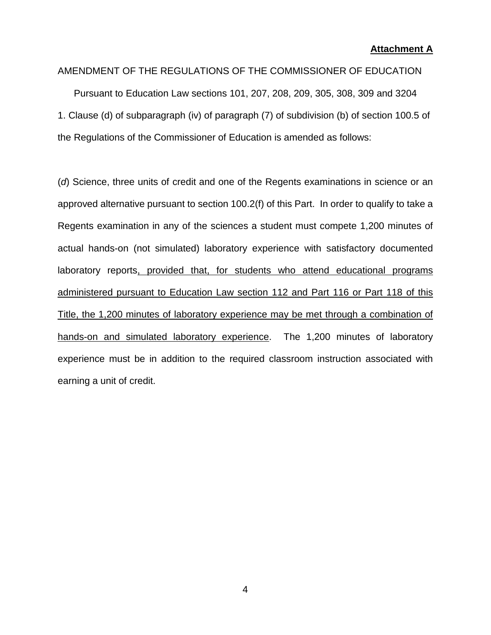#### **Attachment A**

#### AMENDMENT OF THE REGULATIONS OF THE COMMISSIONER OF EDUCATION

Pursuant to Education Law sections 101, 207, 208, 209, 305, 308, 309 and 3204 1. Clause (d) of subparagraph (iv) of paragraph (7) of subdivision (b) of section 100.5 of the Regulations of the Commissioner of Education is amended as follows:

(*d*) Science, three units of credit and one of the Regents examinations in science or an approved alternative pursuant to section 100.2(f) of this Part. In order to qualify to take a Regents examination in any of the sciences a student must compete 1,200 minutes of actual hands-on (not simulated) laboratory experience with satisfactory documented laboratory reports, provided that, for students who attend educational programs administered pursuant to Education Law section 112 and Part 116 or Part 118 of this Title, the 1,200 minutes of laboratory experience may be met through a combination of hands-on and simulated laboratory experience. The 1,200 minutes of laboratory experience must be in addition to the required classroom instruction associated with earning a unit of credit.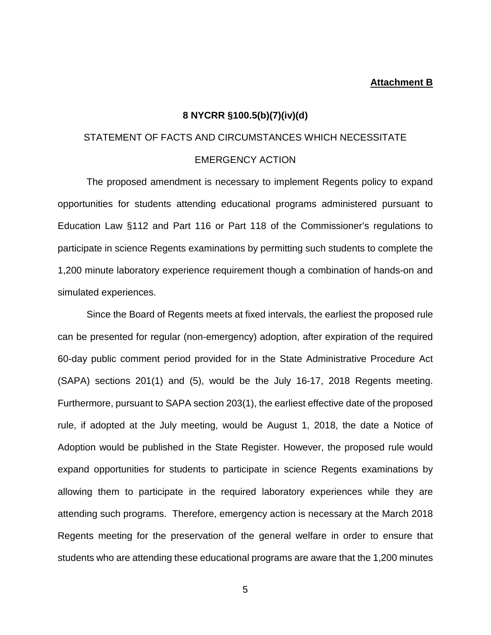#### **Attachment B**

#### **8 NYCRR §100.5(b)(7)(iv)(d)**

# STATEMENT OF FACTS AND CIRCUMSTANCES WHICH NECESSITATE EMERGENCY ACTION

The proposed amendment is necessary to implement Regents policy to expand opportunities for students attending educational programs administered pursuant to Education Law §112 and Part 116 or Part 118 of the Commissioner's regulations to participate in science Regents examinations by permitting such students to complete the 1,200 minute laboratory experience requirement though a combination of hands-on and simulated experiences.

Since the Board of Regents meets at fixed intervals, the earliest the proposed rule can be presented for regular (non-emergency) adoption, after expiration of the required 60-day public comment period provided for in the State Administrative Procedure Act (SAPA) sections 201(1) and (5), would be the July 16-17, 2018 Regents meeting. Furthermore, pursuant to SAPA section 203(1), the earliest effective date of the proposed rule, if adopted at the July meeting, would be August 1, 2018, the date a Notice of Adoption would be published in the State Register. However, the proposed rule would expand opportunities for students to participate in science Regents examinations by allowing them to participate in the required laboratory experiences while they are attending such programs. Therefore, emergency action is necessary at the March 2018 Regents meeting for the preservation of the general welfare in order to ensure that students who are attending these educational programs are aware that the 1,200 minutes

5